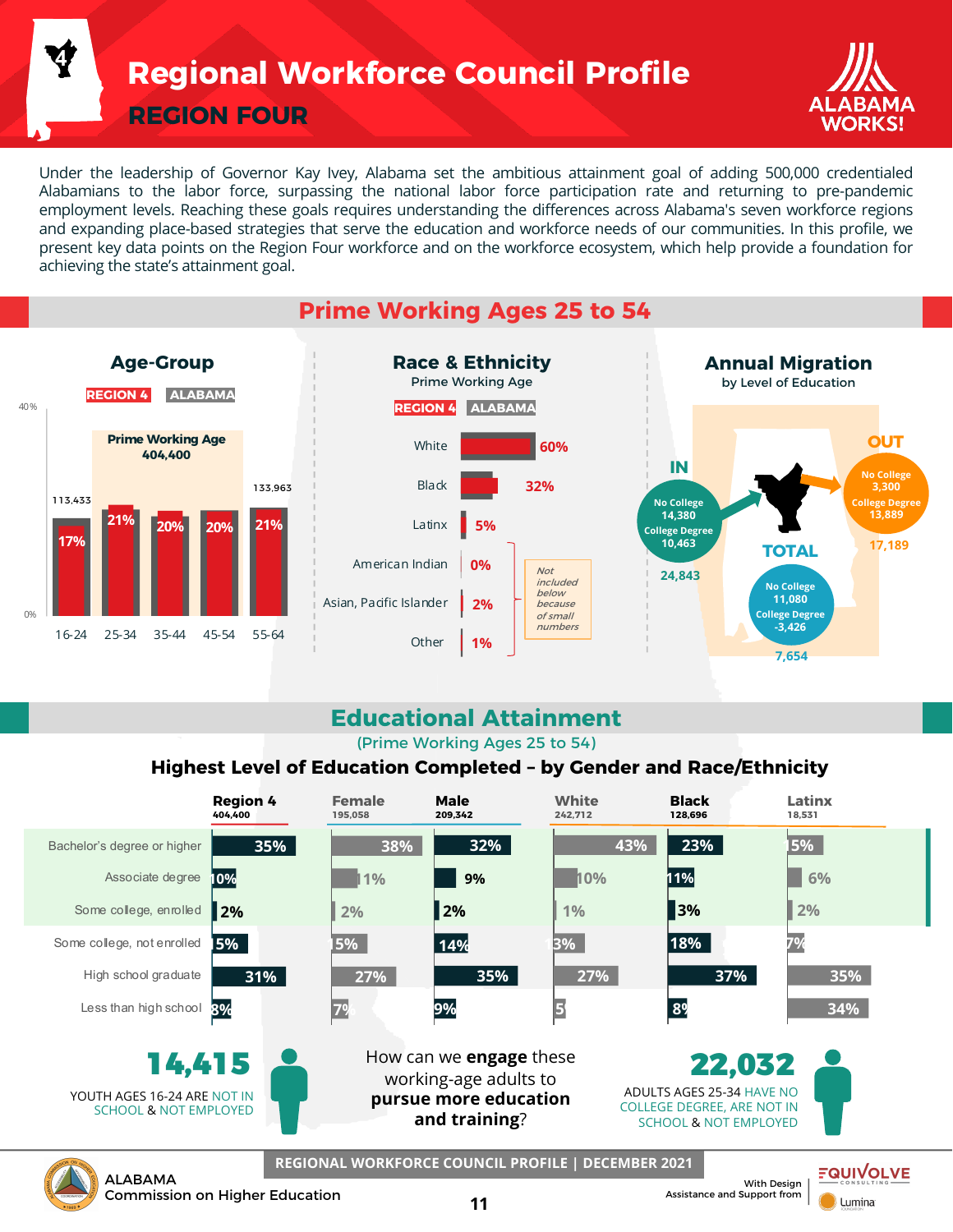**Regional Workforce Council Profile**

**REGION FOUR**

**4**



Under the leadership of Governor Kay Ivey, Alabama set the ambitious attainment goal of adding 500,000 credentialed Alabamians to the labor force, surpassing the national labor force participation rate and returning to pre-pandemic employment levels. Reaching these goals requires understanding the differences across Alabama's seven workforce regions and expanding place-based strategies that serve the education and workforce needs of our communities. In this profile, we present key data points on the Region Four workforce and on the workforce ecosystem, which help provide a foundation for achieving the state's attainment goal.



## **Educational Attainment**

(Prime Working Ages 25 to 54)

#### **Highest Level of Education Completed – by Gender and Race/Ethnicity**